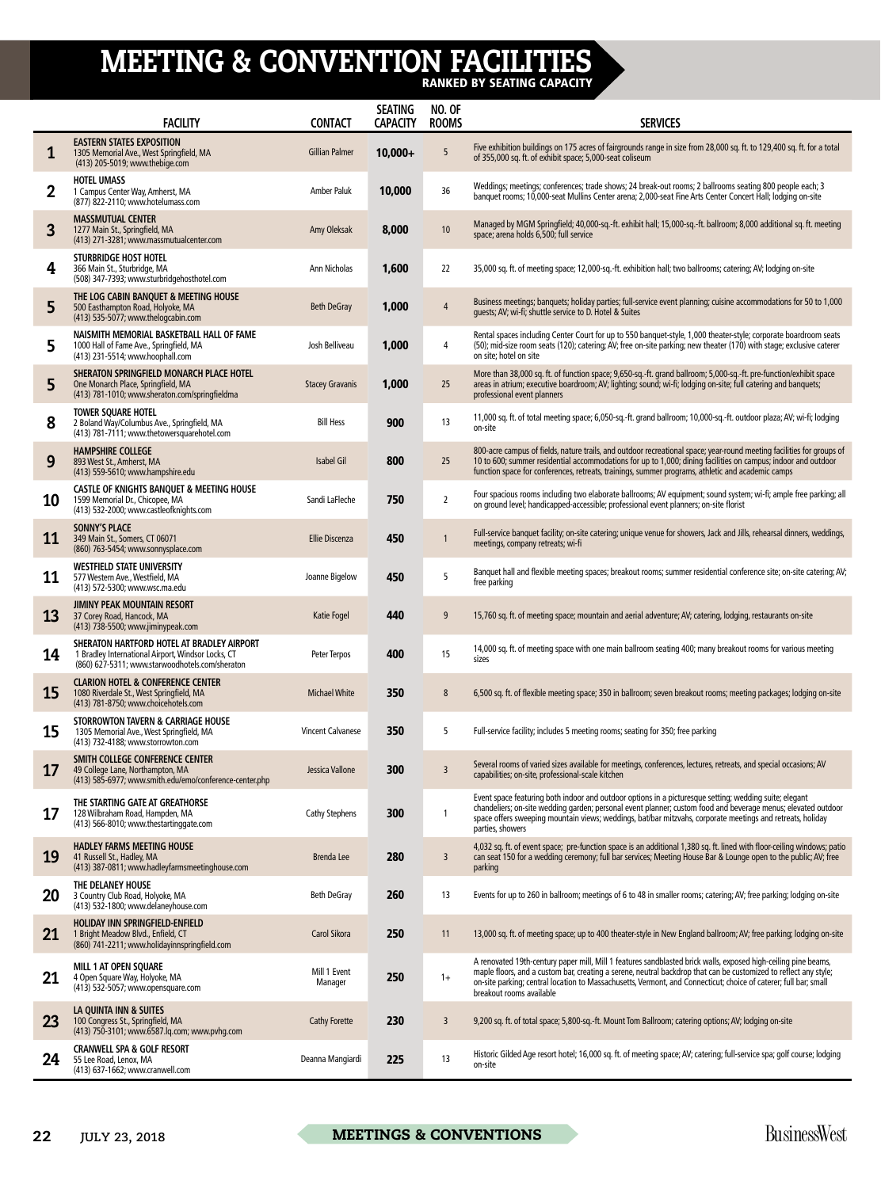## MEETING & CONVENTION FACILITIES

RANKED BY SEATING CAPACITY

|             | <b>FACILITY</b>                                                                                                                                     | <b>CONTACT</b>           | <b>SEATING</b><br><b>CAPACITY</b> | <b>NO. OF</b><br><b>ROOMS</b> | <b>SERVICES</b>                                                                                                                                                                                                                                                                                                                                                                    |
|-------------|-----------------------------------------------------------------------------------------------------------------------------------------------------|--------------------------|-----------------------------------|-------------------------------|------------------------------------------------------------------------------------------------------------------------------------------------------------------------------------------------------------------------------------------------------------------------------------------------------------------------------------------------------------------------------------|
| 1           | <b>EASTERN STATES EXPOSITION</b><br>1305 Memorial Ave., West Springfield, MA<br>(413) 205-5019; www.thebige.com                                     | <b>Gillian Palmer</b>    | $10,000+$                         | 5                             | Five exhibition buildings on 175 acres of fairgrounds range in size from 28,000 sq. ft. to 129,400 sq. ft. for a total<br>of 355,000 sq. ft. of exhibit space; 5,000-seat coliseum                                                                                                                                                                                                 |
| $\mathbf 2$ | <b>HOTEL UMASS</b><br>1 Campus Center Way, Amherst, MA<br>(877) 822-2110; www.hotelumass.com                                                        | Amber Paluk              | 10,000                            | 36                            | Weddings; meetings; conferences; trade shows; 24 break-out rooms; 2 ballrooms seating 800 people each; 3<br>banquet rooms; 10,000-seat Mullins Center arena; 2,000-seat Fine Arts Center Concert Hall; lodging on-site                                                                                                                                                             |
| 3           | <b>MASSMUTUAL CENTER</b><br>1277 Main St., Springfield, MA<br>(413) 271-3281; www.massmutualcenter.com                                              | Amy Oleksak              | 8,000                             | 10                            | Managed by MGM Springfield; 40,000-sq.-ft. exhibit hall; 15,000-sq.-ft. ballroom; 8,000 additional sq. ft. meeting<br>space; arena holds 6,500; full service                                                                                                                                                                                                                       |
| 4           | <b>STURBRIDGE HOST HOTEL</b><br>366 Main St., Sturbridge, MA<br>(508) 347-7393; www.sturbridgehosthotel.com                                         | Ann Nicholas             | 1,600                             | 22                            | 35,000 sq. ft. of meeting space; 12,000-sq.-ft. exhibition hall; two ballrooms; catering; AV; lodging on-site                                                                                                                                                                                                                                                                      |
| 5           | THE LOG CABIN BANQUET & MEETING HOUSE<br>500 Easthampton Road, Holyoke, MA<br>(413) 535-5077; www.thelogcabin.com                                   | Beth DeGray              | 1,000                             | 4                             | Business meetings; banquets; holiday parties; full-service event planning; cuisine accommodations for 50 to 1,000<br>quests; AV; wi-fi; shuttle service to D. Hotel & Suites                                                                                                                                                                                                       |
| 5           | NAISMITH MEMORIAL BASKETBALL HALL OF FAME<br>1000 Hall of Fame Ave., Springfield, MA<br>(413) 231-5514; www.hoophall.com                            | Josh Belliveau           | 1,000                             | 4                             | Rental spaces including Center Court for up to 550 banquet-style, 1,000 theater-style; corporate boardroom seats<br>(50); mid-size room seats (120); catering; AV; free on-site parking; new theater (170) with stage; exclusive caterer<br>on site: hotel on site                                                                                                                 |
| 5           | SHERATON SPRINGFIELD MONARCH PLACE HOTEL<br>One Monarch Place, Springfield, MA<br>(413) 781-1010; www.sheraton.com/springfieldma                    | <b>Stacey Gravanis</b>   | 1,000                             | 25                            | More than 38,000 sq. ft. of function space; 9,650-sq.-ft. grand ballroom; 5,000-sq.-ft. pre-function/exhibit space<br>areas in atrium; executive boardroom; AV; lighting; sound; wi-fi; lodging on-site; full catering and banquets;<br>professional event planners                                                                                                                |
| 8           | <b>TOWER SQUARE HOTEL</b><br>2 Boland Way/Columbus Ave., Springfield, MA<br>(413) 781-7111; www.thetowersquarehotel.com                             | <b>Bill Hess</b>         | 900                               | 13                            | 11,000 sq. ft. of total meeting space; 6,050-sq.-ft. grand ballroom; 10,000-sq.-ft. outdoor plaza; AV; wi-fi; lodging<br>on-site                                                                                                                                                                                                                                                   |
| 9           | <b>HAMPSHIRE COLLEGE</b><br>893 West St., Amherst, MA<br>(413) 559-5610; www.hampshire.edu                                                          | Isabel Gil               | 800                               | 25                            | 800-acre campus of fields, nature trails, and outdoor recreational space; year-round meeting facilities for groups of<br>10 to 600; summer residential accommodations for up to 1,000; dining facilities on campus; indoor and outdoor<br>function space for conferences, retreats, trainings, summer programs, athletic and academic camps                                        |
| 10          | <b>CASTLE OF KNIGHTS BANQUET &amp; MEETING HOUSE</b><br>1599 Memorial Dr., Chicopee, MA<br>(413) 532-2000; www.castleofknights.com                  | Sandi LaFleche           | 750                               | $\overline{2}$                | Four spacious rooms including two elaborate ballrooms; AV equipment; sound system; wi-fi; ample free parking; all<br>on ground level; handicapped-accessible; professional event planners; on-site florist                                                                                                                                                                         |
| 11          | <b>SONNY'S PLACE</b><br>349 Main St., Somers, CT 06071<br>(860) 763-5454; www.sonnysplace.com                                                       | <b>Ellie Discenza</b>    | 450                               | 1                             | Full-service banquet facility; on-site catering; unique venue for showers, Jack and Jills, rehearsal dinners, weddings,<br>meetings, company retreats; wi-fi                                                                                                                                                                                                                       |
| 11          | <b>WESTFIELD STATE UNIVERSITY</b><br>577 Western Ave., Westfield, MA<br>(413) 572-5300; www.wsc.ma.edu                                              | Joanne Bigelow           | 450                               | 5                             | Banquet hall and flexible meeting spaces; breakout rooms; summer residential conference site; on-site catering; AV;<br>free parking                                                                                                                                                                                                                                                |
| 13          | <b>JIMINY PEAK MOUNTAIN RESORT</b><br>37 Corey Road, Hancock, MA<br>(413) 738-5500; www.jiminypeak.com                                              | Katie Fogel              | 440                               | 9                             | 15,760 sq. ft. of meeting space; mountain and aerial adventure; AV; catering, lodging, restaurants on-site                                                                                                                                                                                                                                                                         |
| 14          | SHERATON HARTFORD HOTEL AT BRADLEY AIRPORT<br>1 Bradley International Airport, Windsor Locks, CT<br>(860) 627-5311; www.starwoodhotels.com/sheraton | Peter Terpos             | 400                               | 15                            | 14,000 sq. ft. of meeting space with one main ballroom seating 400; many breakout rooms for various meeting<br>sizes                                                                                                                                                                                                                                                               |
| 15          | <b>CLARION HOTEL &amp; CONFERENCE CENTER</b><br>1080 Riverdale St., West Springfield, MA<br>(413) 781-8750; www.choicehotels.com                    | <b>Michael White</b>     | 350                               | 8                             | 6,500 sq. ft. of flexible meeting space; 350 in ballroom; seven breakout rooms; meeting packages; lodging on-site                                                                                                                                                                                                                                                                  |
| 15          | STORROWTON TAVERN & CARRIAGE HOUSE<br>1305 Memorial Ave., West Springfield, MA<br>(413) 732-4188; www.storrowton.com                                | <b>Vincent Calvanese</b> | 350                               | 5                             | Full-service facility; includes 5 meeting rooms; seating for 350; free parking                                                                                                                                                                                                                                                                                                     |
| 17          | SMITH COLLEGE CONFERENCE CENTER<br>49 College Lane, Northampton, MA<br>(413) 585-6977; www.smith.edu/emo/conference-center.php                      | Jessica Vallone          | 300                               | 3                             | Several rooms of varied sizes available for meetings, conferences, lectures, retreats, and special occasions; AV<br>capabilities; on-site, professional-scale kitchen                                                                                                                                                                                                              |
| 17          | THE STARTING GATE AT GREATHORSE<br>128 Wilbraham Road, Hampden, MA<br>(413) 566-8010; www.thestartinggate.com                                       | <b>Cathy Stephens</b>    | 300                               | 1                             | Event space featuring both indoor and outdoor options in a picturesque setting; wedding suite; elegant<br>chandeliers; on-site wedding garden; personal event planner; custom food and beverage menus; elevated outdoor<br>space offers sweeping mountain views; weddings, bat/bar mitzvahs, corporate meetings and retreats, holiday<br>parties, showers                          |
| 19          | <b>HADLEY FARMS MEETING HOUSE</b><br>41 Russell St., Hadley, MA<br>(413) 387-0811; www.hadleyfarmsmeetinghouse.com                                  | <b>Brenda Lee</b>        | 280                               | 3                             | 4,032 sq. ft. of event space; pre-function space is an additional 1,380 sq. ft. lined with floor-ceiling windows; patio<br>can seat 150 for a wedding ceremony; full bar services; Meeting House Bar & Lounge open to the public; AV; free<br>parking                                                                                                                              |
| 20          | THE DELANEY HOUSE<br>3 Country Club Road, Holyoke, MA<br>(413) 532-1800; www.delaneyhouse.com                                                       | <b>Beth DeGray</b>       | <b>260</b>                        | 13                            | Events for up to 260 in ballroom; meetings of 6 to 48 in smaller rooms; catering; AV; free parking; lodging on-site                                                                                                                                                                                                                                                                |
| 21          | HOLIDAY INN SPRINGFIELD-ENFIELD<br>1 Bright Meadow Blvd., Enfield, CT<br>(860) 741-2211; www.holidayinnspringfield.com                              | <b>Carol Sikora</b>      | 250                               | 11                            | 13,000 sq. ft. of meeting space; up to 400 theater-style in New England ballroom; AV; free parking; lodging on-site                                                                                                                                                                                                                                                                |
| 21          | <b>MILL 1 AT OPEN SQUARE</b><br>4 Open Square Way, Holyoke, MA<br>(413) 532-5057; www.opensquare.com                                                | Mill 1 Event<br>Manager  | 250                               | $1+$                          | A renovated 19th-century paper mill, Mill 1 features sandblasted brick walls, exposed high-ceiling pine beams,<br>maple floors, and a custom bar, creating a serene, neutral backdrop that can be customized to reflect any style;<br>on-site parking; central location to Massachusetts, Vermont, and Connecticut; choice of caterer; full bar; small<br>breakout rooms available |
| 23          | LA QUINTA INN & SUITES<br>100 Congress St., Springfield, MA<br>(413) 750-3101; www.6587.lq.com; www.pvhg.com                                        | <b>Cathy Forette</b>     | 230                               | 3                             | 9,200 sq. ft. of total space; 5,800-sq.-ft. Mount Tom Ballroom; catering options; AV; lodging on-site                                                                                                                                                                                                                                                                              |
| 24          | <b>CRANWELL SPA &amp; GOLF RESORT</b><br>55 Lee Road, Lenox, MA<br>(413) 637-1662; www.cranwell.com                                                 | Deanna Mangiardi         | 225                               | 13                            | Historic Gilded Age resort hotel; 16,000 sq. ft. of meeting space; AV; catering; full-service spa; golf course; lodging<br>on-site                                                                                                                                                                                                                                                 |